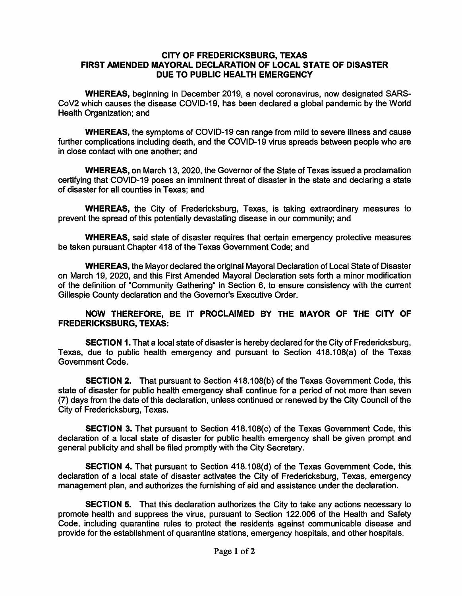## CITY OF FREDERICKSBURG, TEXAS FIRST AMENDED MAYORAL DECLARATION OF LOCAL STATE OF DISASTER DUE TO PUBLIC HEALTH EMERGENCY

WHEREAS, beginning in December 2019, a novel coronavirus, now designated SARS-CoV2 which causes the disease COVID-19, has been declared a global pandemic by the World Health Organization; and

WHEREAS, the symptoms of COVID-19 can range from mild to severe illness and cause further complications including death, and the COVID-19 virus spreads between people who are in close contact with one another; and

WHEREAS, on March 13, 2020, the Governor of the State of Texas issued a proclamation certifying that COVID-19 poses an imminent threat of disaster in the state and declaring a state of disaster for all counties in Texas; and

WHEREAS, the City of Fredericksburg, Texas, is taking extraordinary measures to prevent the spread of this potentially devastating disease in our community; and

WHEREAS, said state of disaster requires that certain emergency protective measures be taken pursuant Chapter 418 of the Texas Government Code; and

WHEREAS, the Mayor declared the original Mayoral Declaration of Local State of Disaster on March 19, 2020, and this First Amended Mayoral Declaration sets forth a minor modification of the definition of "Community Gathering" in Section 6, to ensure consistency with the current Gillespie County declaration and the Governor's Executive Order.

## NOW THEREFORE, BE IT PROCLAIMED BY THE MAYOR OF THE CITY OF FREDERICKSBURG, TEXAS:

SECTION 1. That a local state of disaster is hereby declared for the City of Fredericksburg, Texas, due to public health emergency and pursuant to Section 418.108(a) of the Texas Government Code.

SECTION 2. That pursuant to Section 418.108(b) of the Texas Government Code, this state of disaster for public health emergency shall continue for a period of not more than seven (7) days from the date of this declaration, unless continued or renewed by the City Council of the City of Fredericksburg, Texas.

SECTION 3. That pursuant to Section 418.108(c) of the Texas Government Code, this declaration of a local state of disaster for public health emergency shall be given prompt and general publicity and shall be filed promptly with the City Secretary.

SECTION 4. That pursuant to Section 418.108(d) of the Texas Government Code, this declaration of a local state of disaster activates the City of Fredericksburg, Texas, emergency management plan, and authorizes the furnishing of aid and assistance under the declaration.

SECTION 5. That this declaration authorizes the City to take any actions necessary to promote health and suppress the virus, pursuant to Section 122.006 of the Health and Safety Code, including quarantine rules to protect the residents against communicable disease and provide for the establishment of quarantine stations, emergency hospitals, and other hospitals.